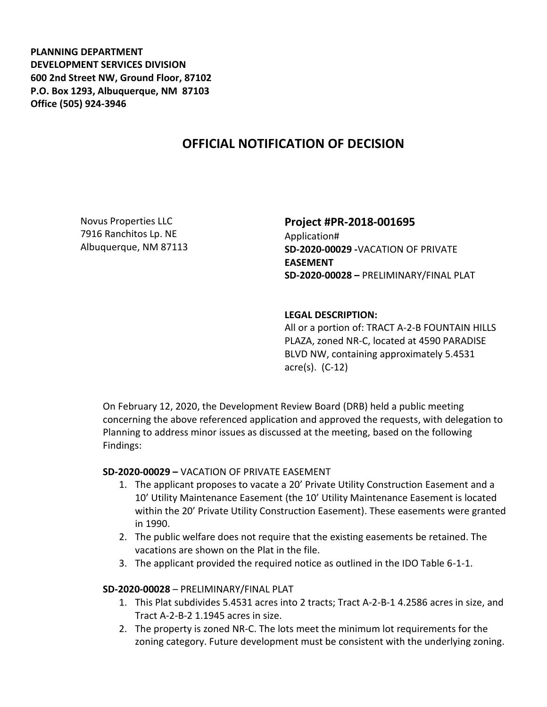**PLANNING DEPARTMENT DEVELOPMENT SERVICES DIVISION 600 2nd Street NW, Ground Floor, 87102 P.O. Box 1293, Albuquerque, NM 87103 Office (505) 924-3946** 

# **OFFICIAL NOTIFICATION OF DECISION**

Novus Properties LLC 7916 Ranchitos Lp. NE Albuquerque, NM 87113

## **Project #PR-2018-001695**

Application# **SD-2020-00029 -**VACATION OF PRIVATE **EASEMENT SD-2020-00028 –** PRELIMINARY/FINAL PLAT

## **LEGAL DESCRIPTION:**

All or a portion of: TRACT A-2-B FOUNTAIN HILLS PLAZA, zoned NR-C, located at 4590 PARADISE BLVD NW, containing approximately 5.4531 acre(s). (C-12)

On February 12, 2020, the Development Review Board (DRB) held a public meeting concerning the above referenced application and approved the requests, with delegation to Planning to address minor issues as discussed at the meeting, based on the following Findings:

### **SD-2020-00029 –** VACATION OF PRIVATE EASEMENT

- 1. The applicant proposes to vacate a 20' Private Utility Construction Easement and a 10' Utility Maintenance Easement (the 10' Utility Maintenance Easement is located within the 20' Private Utility Construction Easement). These easements were granted in 1990.
- 2. The public welfare does not require that the existing easements be retained. The vacations are shown on the Plat in the file.
- 3. The applicant provided the required notice as outlined in the IDO Table 6-1-1.

### **SD-2020-00028** – PRELIMINARY/FINAL PLAT

- 1. This Plat subdivides 5.4531 acres into 2 tracts; Tract A-2-B-1 4.2586 acres in size, and Tract A-2-B-2 1.1945 acres in size.
- 2. The property is zoned NR-C. The lots meet the minimum lot requirements for the zoning category. Future development must be consistent with the underlying zoning.